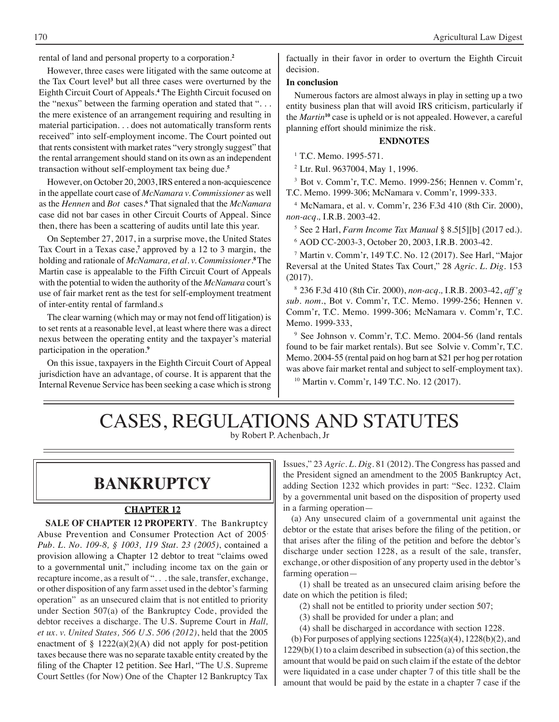rental of land and personal property to a corporation.**<sup>2</sup>**

 However, three cases were litigated with the same outcome at the Tax Court level**<sup>3</sup>** but all three cases were overturned by the Eighth Circuit Court of Appeals.**<sup>4</sup>** The Eighth Circuit focused on the "nexus" between the farming operation and stated that ". . . the mere existence of an arrangement requiring and resulting in material participation. . . does not automatically transform rents received" into self-employment income. The Court pointed out that rents consistent with market rates "very strongly suggest" that the rental arrangement should stand on its own as an independent transaction without self-employment tax being due.**<sup>5</sup>**

 However, on October 20, 2003, IRS entered a non-acquiescence in the appellate court case of *McNamara v. Commissioner* as well as the *Hennen* and *Bot* cases.**<sup>6</sup>** That signaled that the *McNamara* case did not bar cases in other Circuit Courts of Appeal. Since then, there has been a scattering of audits until late this year.

 On September 27, 2017, in a surprise move, the United States Tax Court in a Texas case,**<sup>7</sup>** approved by a 12 to 3 margin, the holding and rationale of *McNamara, et al. v. Commissioner*. **<sup>8</sup>**The Martin case is appealable to the Fifth Circuit Court of Appeals with the potential to widen the authority of the *McNamara* court's use of fair market rent as the test for self-employment treatment of inter-entity rental of farmland.s

 The clear warning (which may or may not fend off litigation) is to set rents at a reasonable level, at least where there was a direct nexus between the operating entity and the taxpayer's material participation in the operation.**<sup>9</sup>**

On this issue, taxpayers in the Eighth Circuit Court of Appeal jurisdiction have an advantage, of course. It is apparent that the Internal Revenue Service has been seeking a case which is strong factually in their favor in order to overturn the Eighth Circuit decision.

#### **In conclusion**

Numerous factors are almost always in play in setting up a two entity business plan that will avoid IRS criticism, particularly if the *Martin***<sup>10</sup>** case is upheld or is not appealed. However, a careful planning effort should minimize the risk.

#### **ENDNOTES**

<sup>1</sup> T.C. Memo. 1995-571.

<sup>2</sup>Ltr. Rul. 9637004, May 1, 1996.

3 Bot v. Comm'r, T.C. Memo. 1999-256; Hennen v. Comm'r, T.C. Memo. 1999-306; McNamara v. Comm'r, 1999-333.

4 McNamara, et al. v. Comm'r, 236 F.3d 410 (8th Cir. 2000), *non-acq.,* I.R.B. 2003-42*.*

<sup>5</sup>See 2 Harl, *Farm Income Tax Manual* § 8.5[5][b] (2017 ed.). 6 AOD CC-2003-3, October 20, 2003, I.R.B. 2003-42.

7 Martin v. Comm'r, 149 T.C. No. 12 (2017). See Harl, "Major Reversal at the United States Tax Court," 28 *Agric. L. Dig*. 153 (2017).

8 236 F.3d 410 (8th Cir. 2000), *non-acq.,* I.R.B. 2003-42, *aff'g sub. nom*., Bot v. Comm'r, T.C. Memo. 1999-256; Hennen v. Comm'r, T.C. Memo. 1999-306; McNamara v. Comm'r, T.C. Memo. 1999-333,

9 See Johnson v. Comm'r, T.C. Memo. 2004-56 (land rentals found to be fair market rentals). But see Solvie v. Comm'r, T.C. Memo. 2004-55 (rental paid on hog barn at \$21 per hog per rotation was above fair market rental and subject to self-employment tax).

10 Martin v. Comm'r, 149 T.C. No. 12 (2017).

# CASES, REGULATIONS AND STATUTES

by Robert P. Achenbach, Jr

## **bankruptcy**

#### **CHAPTER 12**

**SALE OF CHAPTER 12 PROPERTY**. The Bankruptcy Abuse Prevention and Consumer Protection Act of 2005, *Pub. L. No. 109-8, § 1003, 119 Stat. 23 (2005)*, contained a provision allowing a Chapter 12 debtor to treat "claims owed to a governmental unit," including income tax on the gain or recapture income, as a result of ". . . the sale, transfer, exchange, or other disposition of any farm asset used in the debtor'sfarming operation" as an unsecured claim that is not entitled to priority under Section 507(a) of the Bankruptcy Code, provided the debtor receives a discharge. The U.S. Supreme Court in *Hall, et ux. v. United States, 566 U.S. 506 (2012)*, held that the 2005 enactment of  $\S$  1222(a)(2)(A) did not apply for post-petition taxes because there was no separate taxable entity created by the filing of the Chapter 12 petition. See Harl, "The U.S. Supreme Court Settles (for Now) One of the Chapter 12 Bankruptcy Tax Issues," 23 *Agric. L. Dig*. 81 (2012). The Congress has passed and the President signed an amendment to the 2005 Bankruptcy Act, adding Section 1232 which provides in part: "Sec. 1232. Claim by a governmental unit based on the disposition of property used in a farming operation—

 (a) Any unsecured claim of a governmental unit against the debtor or the estate that arises before the filing of the petition, or that arises after the filing of the petition and before the debtor's discharge under section 1228, as a result of the sale, transfer, exchange, or other disposition of any property used in the debtor's farming operation—

 (1) shall be treated as an unsecured claim arising before the date on which the petition is filed;

 (2) shall not be entitled to priority under section 507;

 (3) shall be provided for under a plan; and

 (4) shall be discharged in accordance with section 1228.

 (b) For purposes of applying sections 1225(a)(4), 1228(b)(2), and  $1229(b)(1)$  to a claim described in subsection (a) of this section, the amount that would be paid on such claim if the estate of the debtor were liquidated in a case under chapter 7 of this title shall be the amount that would be paid by the estate in a chapter 7 case if the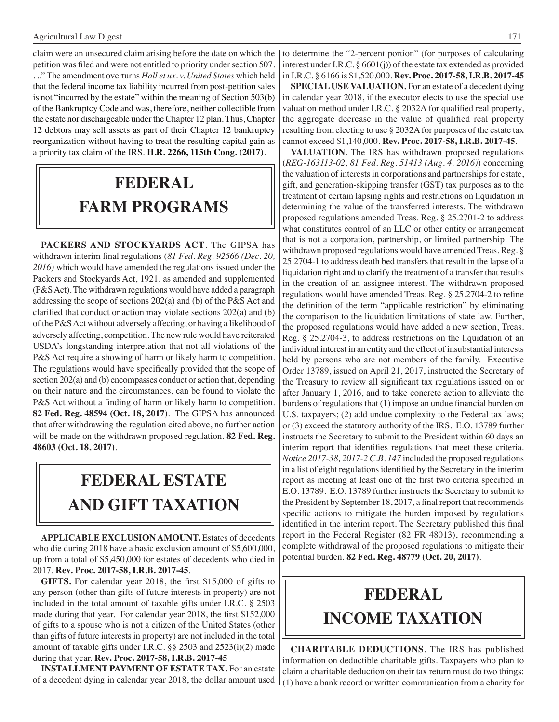claim were an unsecured claim arising before the date on which the petition was filed and were not entitled to priority under section 507. . .." The amendment overturns *Hall et ux. v. United States* which held that the federal income tax liability incurred from post-petition sales is not "incurred by the estate" within the meaning of Section 503(b) of the Bankruptcy Code and was, therefore, neither collectible from the estate nor dischargeable under the Chapter 12 plan. Thus, Chapter 12 debtors may sell assets as part of their Chapter 12 bankruptcy reorganization without having to treat the resulting capital gain as a priority tax claim of the IRS. **H.R. 2266, 115th Cong. (2017)**.

# **FEDERAL farm programs**

**PACKERS AND STOCKYARDS ACT**. The GIPSA has withdrawn interim final regulations (*81 Fed. Reg. 92566 (Dec. 20, 2016)* which would have amended the regulations issued under the Packers and Stockyards Act, 1921, as amended and supplemented (P&SAct).The withdrawn regulations would have added a paragraph addressing the scope of sections 202(a) and (b) of the P&S Act and clarified that conduct or action may violate sections 202(a) and (b) of the P&SAct without adversely affecting, or having a likelihood of adversely affecting, competition. The new rule would have reiterated USDA's longstanding interpretation that not all violations of the P&S Act require a showing of harm or likely harm to competition. The regulations would have specifically provided that the scope of section 202(a) and (b) encompasses conduct or action that, depending on their nature and the circumstances, can be found to violate the P&S Act without a finding of harm or likely harm to competition. **82 Fed. Reg. 48594 (Oct. 18, 2017)**. The GIPSA has announced that after withdrawing the regulation cited above, no further action will be made on the withdrawn proposed regulation. **82 Fed. Reg. 48603 (Oct. 18, 2017)**.

# **FEDERAL ESTATE AND GIFT taxation**

**APPLICABLE EXCLUSION AMOUNT.** Estates of decedents who die during 2018 have a basic exclusion amount of \$5,600,000, up from a total of \$5,450,000 for estates of decedents who died in 2017. **Rev. Proc. 2017-58, I.R.B. 2017-45**.

**GIFTS.** For calendar year 2018, the first \$15,000 of gifts to any person (other than gifts of future interests in property) are not included in the total amount of taxable gifts under I.R.C. § 2503 made during that year. For calendar year 2018, the first \$152,000 of gifts to a spouse who is not a citizen of the United States (other than gifts of future interests in property) are not included in the total amount of taxable gifts under I.R.C. §§ 2503 and 2523(i)(2) made during that year. **Rev. Proc. 2017-58, I.R.B. 2017-45**

**INSTALLMENT PAYMENT OF ESTATE TAX.** For an estate of a decedent dying in calendar year 2018, the dollar amount used to determine the "2-percent portion" (for purposes of calculating interest under I.R.C. § 6601(j)) of the estate tax extended as provided in I.R.C. § 6166 is \$1,520,000. **Rev. Proc. 2017-58, I.R.B. 2017-45**

**SPECIAL USE VALUATION.** For an estate of a decedent dying in calendar year 2018, if the executor elects to use the special use valuation method under I.R.C. § 2032A for qualified real property, the aggregate decrease in the value of qualified real property resulting from electing to use  $\S 2032A$  for purposes of the estate tax cannot exceed \$1,140,000. **Rev. Proc. 2017-58, I.R.B. 2017-45**.

**VALUATION**. The IRS has withdrawn proposed regulations (*REG-163113-02, 81 Fed. Reg. 51413 (Aug. 4, 2016)*) concerning the valuation of interests in corporations and partnerships for estate, gift, and generation-skipping transfer (GST) tax purposes as to the treatment of certain lapsing rights and restrictions on liquidation in determining the value of the transferred interests. The withdrawn proposed regulations amended Treas. Reg. § 25.2701-2 to address what constitutes control of an LLC or other entity or arrangement that is not a corporation, partnership, or limited partnership. The withdrawn proposed regulations would have amended Treas. Reg. § 25.2704-1 to address death bed transfers that result in the lapse of a liquidation right and to clarify the treatment of a transfer that results in the creation of an assignee interest. The withdrawn proposed regulations would have amended Treas. Reg. § 25.2704-2 to refine the definition of the term "applicable restriction" by eliminating the comparison to the liquidation limitations of state law. Further, the proposed regulations would have added a new section, Treas. Reg. § 25.2704-3, to address restrictions on the liquidation of an individual interest in an entity and the effect of insubstantial interests held by persons who are not members of the family. Executive Order 13789, issued on April 21, 2017, instructed the Secretary of the Treasury to review all significant tax regulations issued on or after January 1, 2016, and to take concrete action to alleviate the burdens of regulations that (1) impose an undue financial burden on U.S. taxpayers; (2) add undue complexity to the Federal tax laws; or (3) exceed the statutory authority of the IRS. E.O. 13789 further instructs the Secretary to submit to the President within 60 days an interim report that identifies regulations that meet these criteria. *Notice 2017-38, 2017-2 C.B. 147* included the proposed regulations in a list of eight regulations identified by the Secretary in the interim report as meeting at least one of the first two criteria specified in E.O. 13789. E.O. 13789 further instructs the Secretary to submit to the President by September 18, 2017, a final report that recommends specific actions to mitigate the burden imposed by regulations identified in the interim report. The Secretary published this final report in the Federal Register (82 FR 48013), recommending a complete withdrawal of the proposed regulations to mitigate their potential burden. **82 Fed. Reg. 48779 (Oct. 20, 2017)**.

# **federal income taxation**

**CHARITABLE DEDUCTIONS**. The IRS has published information on deductible charitable gifts. Taxpayers who plan to claim a charitable deduction on their tax return must do two things: (1) have a bank record or written communication from a charity for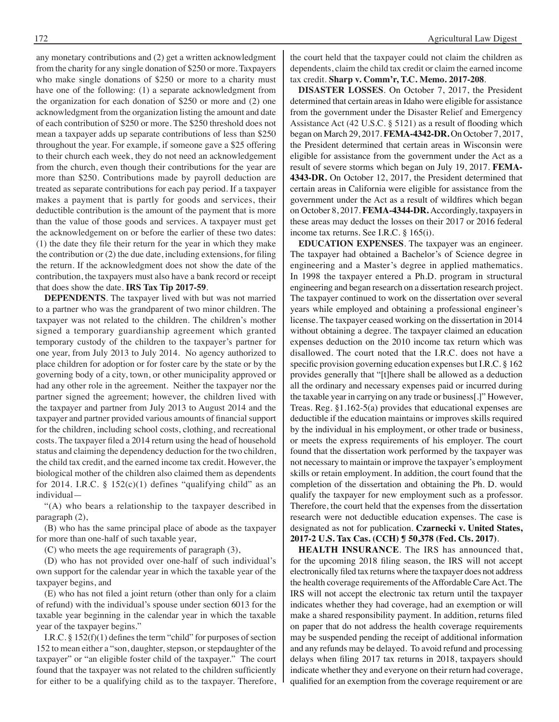any monetary contributions and (2) get a written acknowledgment from the charity for any single donation of \$250 or more. Taxpayers who make single donations of \$250 or more to a charity must have one of the following: (1) a separate acknowledgment from the organization for each donation of \$250 or more and (2) one acknowledgment from the organization listing the amount and date of each contribution of \$250 or more. The \$250 threshold does not mean a taxpayer adds up separate contributions of less than \$250 throughout the year. For example, if someone gave a \$25 offering to their church each week, they do not need an acknowledgement from the church, even though their contributions for the year are more than \$250. Contributions made by payroll deduction are treated as separate contributions for each pay period. If a taxpayer makes a payment that is partly for goods and services, their deductible contribution is the amount of the payment that is more than the value of those goods and services. A taxpayer must get the acknowledgement on or before the earlier of these two dates: (1) the date they file their return for the year in which they make the contribution or (2) the due date, including extensions, for filing the return. If the acknowledgment does not show the date of the contribution, the taxpayers must also have a bank record or receipt that does show the date. **IRS Tax Tip 2017-59**.

**DEPENDENTS**. The taxpayer lived with but was not married to a partner who was the grandparent of two minor children. The taxpayer was not related to the children. The children's mother signed a temporary guardianship agreement which granted temporary custody of the children to the taxpayer's partner for one year, from July 2013 to July 2014. No agency authorized to place children for adoption or for foster care by the state or by the governing body of a city, town, or other municipality approved or had any other role in the agreement. Neither the taxpayer nor the partner signed the agreement; however, the children lived with the taxpayer and partner from July 2013 to August 2014 and the taxpayer and partner provided various amounts of financial support for the children, including school costs, clothing, and recreational costs. The taxpayer filed a 2014 return using the head of household status and claiming the dependency deduction for the two children, the child tax credit, and the earned income tax credit. However, the biological mother of the children also claimed them as dependents for 2014. I.R.C. §  $152(c)(1)$  defines "qualifying child" as an individual—

 "(A) who bears a relationship to the taxpayer described in paragraph (2),

 (B) who has the same principal place of abode as the taxpayer for more than one-half of such taxable year,

 (C) who meets the age requirements of paragraph (3),

 (D) who has not provided over one-half of such individual's own support for the calendar year in which the taxable year of the taxpayer begins, and

 (E) who has not filed a joint return (other than only for a claim of refund) with the individual's spouse under section 6013 for the taxable year beginning in the calendar year in which the taxable year of the taxpayer begins."

I.R.C.  $\S 152(f)(1)$  defines the term "child" for purposes of section 152 to mean either a "son, daughter, stepson, or stepdaughter of the taxpayer" or "an eligible foster child of the taxpayer." The court found that the taxpayer was not related to the children sufficiently for either to be a qualifying child as to the taxpayer. Therefore,

the court held that the taxpayer could not claim the children as dependents, claim the child tax credit or claim the earned income tax credit. **Sharp v. Comm'r, T.C. Memo. 2017-208**.

**DISASTER LOSSES**. On October 7, 2017, the President determined that certain areas in Idaho were eligible for assistance from the government under the Disaster Relief and Emergency Assistance Act (42 U.S.C. § 5121) as a result of flooding which began on March 29, 2017. **FEMA-4342-DR.** On October 7, 2017, the President determined that certain areas in Wisconsin were eligible for assistance from the government under the Act as a result of severe storms which began on July 19, 2017. **FEMA-4343-DR.** On October 12, 2017, the President determined that certain areas in California were eligible for assistance from the government under the Act as a result of wildfires which began on October 8, 2017. **FEMA-4344-DR.** Accordingly, taxpayers in these areas may deduct the losses on their 2017 or 2016 federal income tax returns. See I.R.C. § 165(i).

**EDUCATION EXPENSES**. The taxpayer was an engineer. The taxpayer had obtained a Bachelor's of Science degree in engineering and a Master's degree in applied mathematics. In 1998 the taxpayer entered a Ph.D. program in structural engineering and began research on a dissertation research project. The taxpayer continued to work on the dissertation over several years while employed and obtaining a professional engineer's license. The taxpayer ceased working on the dissertation in 2014 without obtaining a degree. The taxpayer claimed an education expenses deduction on the 2010 income tax return which was disallowed. The court noted that the I.R.C. does not have a specific provision governing education expenses but I.R.C. § 162 provides generally that "[t]here shall be allowed as a deduction all the ordinary and necessary expenses paid or incurred during the taxable year in carrying on any trade or business[.]" However, Treas. Reg. §1.162-5(a) provides that educational expenses are deductible if the education maintains or improves skills required by the individual in his employment, or other trade or business, or meets the express requirements of his employer. The court found that the dissertation work performed by the taxpayer was not necessary to maintain or improve the taxpayer's employment skills or retain employment. In addition, the court found that the completion of the dissertation and obtaining the Ph. D. would qualify the taxpayer for new employment such as a professor. Therefore, the court held that the expenses from the dissertation research were not deductible education expenses. The case is designated as not for publication. **Czarnecki v. United States, 2017-2 U.S. Tax Cas. (CCH) ¶ 50,378 (Fed. Cls. 2017)**.

**HEALTH INSURANCE**. The IRS has announced that, for the upcoming 2018 filing season, the IRS will not accept electronically filed tax returns where the taxpayer does not address the health coverage requirements of the Affordable Care Act. The IRS will not accept the electronic tax return until the taxpayer indicates whether they had coverage, had an exemption or will make a shared responsibility payment. In addition, returns filed on paper that do not address the health coverage requirements may be suspended pending the receipt of additional information and any refunds may be delayed. To avoid refund and processing delays when filing 2017 tax returns in 2018, taxpayers should indicate whether they and everyone on their return had coverage, qualified for an exemption from the coverage requirement or are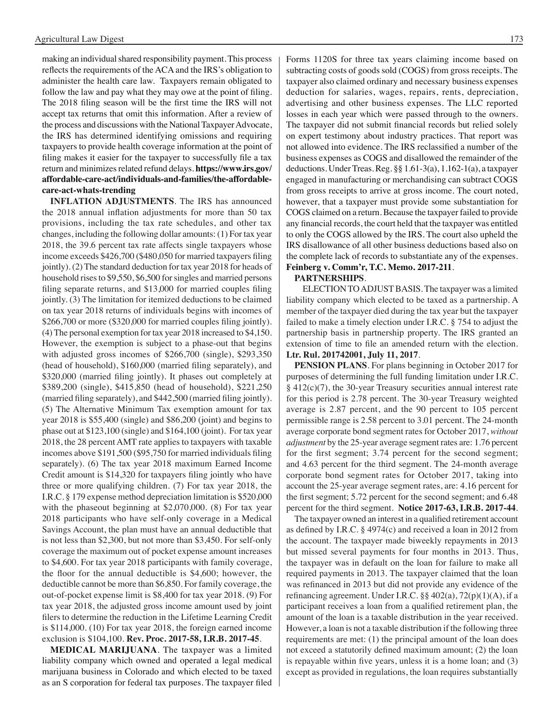making an individual shared responsibility payment. This process reflects the requirements of the ACA and the IRS's obligation to administer the health care law. Taxpayers remain obligated to follow the law and pay what they may owe at the point of filing. The 2018 filing season will be the first time the IRS will not accept tax returns that omit this information. After a review of the process and discussions with the National Taxpayer Advocate, the IRS has determined identifying omissions and requiring taxpayers to provide health coverage information at the point of filing makes it easier for the taxpayer to successfully file a tax return and minimizesrelated refund delays. **https://www.irs.gov/ affordable-care-act/individuals-and-families/the-affordablecare-act-whats-trending**

**INFLATION ADJUSTMENTS**. The IRS has announced the 2018 annual inflation adjustments for more than 50 tax provisions, including the tax rate schedules, and other tax changes, including the following dollar amounts: (1) For tax year 2018, the 39.6 percent tax rate affects single taxpayers whose income exceeds \$426,700 (\$480,050 for married taxpayers filing jointly). (2) The standard deduction for tax year 2018 for heads of household rises to \$9,550, \$6,500 for singles and married persons filing separate returns, and \$13,000 for married couples filing jointly. (3) The limitation for itemized deductions to be claimed on tax year 2018 returns of individuals begins with incomes of \$266,700 or more (\$320,000 for married couples filing jointly). (4)The personal exemption for tax year 2018 increased to \$4,150. However, the exemption is subject to a phase-out that begins with adjusted gross incomes of \$266,700 (single), \$293,350 (head of household), \$160,000 (married filing separately), and \$320,000 (married filing jointly). It phases out completely at \$389,200 (single), \$415,850 (head of household), \$221,250 (married filing separately), and \$442,500 (married filing jointly). (5) The Alternative Minimum Tax exemption amount for tax year 2018 is \$55,400 (single) and \$86,200 (joint) and begins to phase out at \$123,100 (single) and \$164,100 (joint). For tax year 2018, the 28 percent AMT rate applies to taxpayers with taxable incomes above \$191,500 (\$95,750 for married individuals filing separately). (6) The tax year 2018 maximum Earned Income Credit amount is \$14,320 for taxpayers filing jointly who have three or more qualifying children. (7) For tax year 2018, the I.R.C. § 179 expense method depreciation limitation is \$520,000 with the phaseout beginning at \$2,070,000. (8) For tax year 2018 participants who have self-only coverage in a Medical Savings Account, the plan must have an annual deductible that is not less than \$2,300, but not more than \$3,450. For self-only coverage the maximum out of pocket expense amount increases to \$4,600. For tax year 2018 participants with family coverage, the floor for the annual deductible is \$4,600; however, the deductible cannot be more than \$6,850. For family coverage, the out-of-pocket expense limit is \$8,400 for tax year 2018. (9) For tax year 2018, the adjusted gross income amount used by joint filers to determine the reduction in the Lifetime Learning Credit is \$114,000. (10) For tax year 2018, the foreign earned income exclusion is \$104,100. **Rev. Proc. 2017-58, I.R.B. 2017-45**.

**MEDICAL MARIJUANA**. The taxpayer was a limited liability company which owned and operated a legal medical marijuana business in Colorado and which elected to be taxed as an S corporation for federal tax purposes. The taxpayer filed Forms 1120S for three tax years claiming income based on subtracting costs of goods sold (COGS) from gross receipts. The taxpayer also claimed ordinary and necessary business expenses deduction for salaries, wages, repairs, rents, depreciation, advertising and other business expenses. The LLC reported losses in each year which were passed through to the owners. The taxpayer did not submit financial records but relied solely on expert testimony about industry practices. That report was not allowed into evidence. The IRS reclassified a number of the business expenses as COGS and disallowed the remainder of the deductions. UnderTreas.Reg. §§ 1.61-3(a), 1.162-1(a), a taxpayer engaged in manufacturing or merchandising can subtract COGS from gross receipts to arrive at gross income. The court noted, however, that a taxpayer must provide some substantiation for COGS claimed on a return. Because the taxpayer failed to provide any financial records, the court held that the taxpayer was entitled to only the COGS allowed by the IRS. The court also upheld the IRS disallowance of all other business deductions based also on the complete lack of records to substantiate any of the expenses. **Feinberg v. Comm'r, T.C. Memo. 2017-211**.

#### **PARTNERSHIPS**.

ELECTION TO ADJUST BASIS. The taxpayer was a limited liability company which elected to be taxed as a partnership. A member of the taxpayer died during the tax year but the taxpayer failed to make a timely election under I.R.C. § 754 to adjust the partnership basis in partnership property. The IRS granted an extension of time to file an amended return with the election. **Ltr. Rul. 201742001, July 11, 2017**.

**PENSION PLANS**. For plans beginning in October 2017 for purposes of determining the full funding limitation under I.R.C. § 412(c)(7), the 30-year Treasury securities annual interest rate for this period is 2.78 percent. The 30-year Treasury weighted average is 2.87 percent, and the 90 percent to 105 percent permissible range is 2.58 percent to 3.01 percent. The 24-month average corporate bond segment rates for October 2017, *without adjustment* by the 25-year average segment rates are: 1.76 percent for the first segment; 3.74 percent for the second segment; and 4.63 percent for the third segment. The 24-month average corporate bond segment rates for October 2017, taking into account the 25-year average segment rates, are: 4.16 percent for the first segment; 5.72 percent for the second segment; and 6.48 percent for the third segment. **Notice 2017-63, I.R.B. 2017-44**.

 The taxpayer owned an interest in a qualified retirement account as defined by I.R.C. § 4974(c) and received a loan in 2012 from the account. The taxpayer made biweekly repayments in 2013 but missed several payments for four months in 2013. Thus, the taxpayer was in default on the loan for failure to make all required payments in 2013. The taxpayer claimed that the loan was refinanced in 2013 but did not provide any evidence of the refinancing agreement. Under I.R.C. §§ 402(a), 72(p)(1)(A), if a participant receives a loan from a qualified retirement plan, the amount of the loan is a taxable distribution in the year received. However, a loan is not a taxable distribution if the following three requirements are met: (1) the principal amount of the loan does not exceed a statutorily defined maximum amount; (2) the loan is repayable within five years, unless it is a home loan; and (3) except as provided in regulations, the loan requires substantially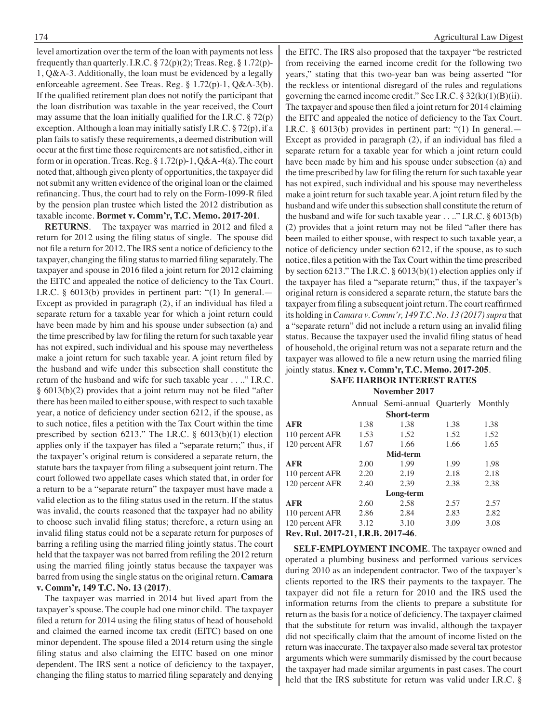level amortization over the term of the loan with payments not less frequently than quarterly. I.R.C.  $\S 72(p)(2)$ ; Treas. Reg.  $\S 1.72(p)$ -1, Q&A-3. Additionally, the loan must be evidenced by a legally enforceable agreement. See Treas. Reg. § 1.72(p)-1, Q&A-3(b). If the qualified retirement plan does not notify the participant that the loan distribution was taxable in the year received, the Court may assume that the loan initially qualified for the I.R.C.  $\S 72(p)$ exception. Although a loan may initially satisfy I.R.C. § 72(p), if a plan fails to satisfy these requirements, a deemed distribution will occur at the first time those requirements are notsatisfied, either in form or in operation. Treas. Reg. § 1.72(p)-1, Q&A-4(a). The court noted that, although given plenty of opportunities, the taxpayer did notsubmit any written evidence of the original loan or the claimed refinancing. Thus, the court had to rely on the Form-1099-R filed by the pension plan trustee which listed the 2012 distribution as taxable income. **Bormet v. Comm'r, T.C. Memo. 2017-201**.

**RETURNS**. The taxpayer was married in 2012 and filed a return for 2012 using the filing status of single. The spouse did not file a return for 2012. The IRS sent a notice of deficiency to the taxpayer, changing the filing status to married filing separately. The taxpayer and spouse in 2016 filed a joint return for 2012 claiming the EITC and appealed the notice of deficiency to the Tax Court. I.R.C. § 6013(b) provides in pertinent part: "(1) In general.— Except as provided in paragraph (2), if an individual has filed a separate return for a taxable year for which a joint return could have been made by him and his spouse under subsection (a) and the time prescribed by law for filing the return for such taxable year has not expired, such individual and his spouse may nevertheless make a joint return for such taxable year. A joint return filed by the husband and wife under this subsection shall constitute the return of the husband and wife for such taxable year . . .." I.R.C. § 6013(b)(2) provides that a joint return may not be filed "after there has been mailed to either spouse, with respect to such taxable year, a notice of deficiency under section 6212, if the spouse, as to such notice, files a petition with the Tax Court within the time prescribed by section 6213." The I.R.C. § 6013(b)(1) election applies only if the taxpayer has filed a "separate return;" thus, if the taxpayer's original return is considered a separate return, the statute bars the taxpayer from filing a subsequent joint return. The court followed two appellate cases which stated that, in order for a return to be a "separate return" the taxpayer must have made a valid election as to the filing status used in the return. If the status was invalid, the courts reasoned that the taxpayer had no ability to choose such invalid filing status; therefore, a return using an invalid filing status could not be a separate return for purposes of barring a refiling using the married filing jointly status. The court held that the taxpayer was not barred from refiling the 2012 return using the married filing jointly status because the taxpayer was barred from using the single status on the original return. **Camara v. Comm'r, 149 T.C. No. 13 (2017)**.

 The taxpayer was married in 2014 but lived apart from the taxpayer's spouse. The couple had one minor child. The taxpayer filed a return for 2014 using the filing status of head of household and claimed the earned income tax credit (EITC) based on one minor dependent. The spouse filed a 2014 return using the single filing status and also claiming the EITC based on one minor dependent. The IRS sent a notice of deficiency to the taxpayer, changing the filing status to married filing separately and denying

the EITC. The IRS also proposed that the taxpayer "be restricted from receiving the earned income credit for the following two years," stating that this two-year ban was being asserted "for the reckless or intentional disregard of the rules and regulations governing the earned income credit." See I.R.C.  $\S 32(k)(1)(B)(ii)$ . The taxpayer and spouse then filed a joint return for 2014 claiming the EITC and appealed the notice of deficiency to the Tax Court. I.R.C. § 6013(b) provides in pertinent part: "(1) In general.— Except as provided in paragraph (2), if an individual has filed a separate return for a taxable year for which a joint return could have been made by him and his spouse under subsection (a) and the time prescribed by law for filing the return for such taxable year has not expired, such individual and his spouse may nevertheless make a joint return for such taxable year. A joint return filed by the husband and wife under this subsection shall constitute the return of the husband and wife for such taxable year . . .." I.R.C. § 6013(b) (2) provides that a joint return may not be filed "after there has been mailed to either spouse, with respect to such taxable year, a notice of deficiency under section 6212, if the spouse, as to such notice, files a petition with the Tax Court within the time prescribed by section 6213." The I.R.C. § 6013(b)(1) election applies only if the taxpayer has filed a "separate return;" thus, if the taxpayer's original return is considered a separate return, the statute bars the taxpayer from filing a subsequent joint return. The court reaffirmed its holding in *Camara v. Comm'r, 149 T.C. No. 13 (2017)* supra that a "separate return" did not include a return using an invalid filing status. Because the taxpayer used the invalid filing status of head of household, the original return was not a separate return and the taxpayer was allowed to file a new return using the married filing jointly status. **Knez v. Comm'r, T.C. Memo. 2017-205**.

#### **Safe Harbor interest rates November 2017**

|                                             |       | Annual Semi-annual Quarterly |      | Monthly |
|---------------------------------------------|-------|------------------------------|------|---------|
|                                             |       | <b>Short-term</b>            |      |         |
| <b>AFR</b>                                  | 1.38  | 1.38                         | 1.38 | 1.38    |
| 110 percent AFR                             | 1.53  | 1.52                         | 1.52 | 1.52    |
| 120 percent AFR                             | 1.67  | 1.66                         | 1.66 | 1.65    |
|                                             |       | Mid-term                     |      |         |
| <b>AFR</b>                                  | 2.00  | 1.99                         | 1.99 | 1.98    |
| 110 percent AFR                             | 2.20  | 2.19                         | 2.18 | 2.18    |
| 120 percent AFR                             | 2.40  | 2.39                         | 2.38 | 2.38    |
|                                             |       | Long-term                    |      |         |
| <b>AFR</b>                                  | 2.60  | 2.58                         | 2.57 | 2.57    |
| 110 percent AFR                             | 2.86  | 2.84                         | 2.83 | 2.82    |
| 120 percent AFR                             | 3.12  | 3.10                         | 3.09 | 3.08    |
| $D_{\alpha x}$ , $D_{\alpha 1}$ , $2017.21$ | I D D | 2017.46                      |      |         |

#### **Rev. Rul. 2017-21, I.R.B. 2017-46**.

**SELF-EMPLOYMENT INCOME**. The taxpayer owned and operated a plumbing business and performed various services during 2010 as an independent contractor. Two of the taxpayer's clients reported to the IRS their payments to the taxpayer. The taxpayer did not file a return for 2010 and the IRS used the information returns from the clients to prepare a substitute for return as the basis for a notice of deficiency. The taxpayer claimed that the substitute for return was invalid, although the taxpayer did not specifically claim that the amount of income listed on the return wasinaccurate. The taxpayer also made several tax protestor arguments which were summarily dismissed by the court because the taxpayer had made similar arguments in past cases. The court held that the IRS substitute for return was valid under I.R.C. §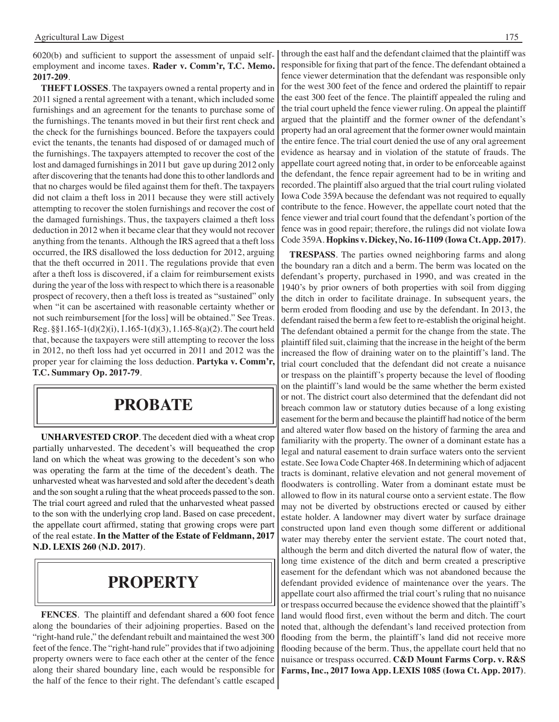6020(b) and sufficient to support the assessment of unpaid selfemployment and income taxes. **Rader v. Comm'r, T.C. Memo. 2017-209**.

**THEFT LOSSES**. The taxpayers owned a rental property and in 2011 signed a rental agreement with a tenant, which included some furnishings and an agreement for the tenants to purchase some of the furnishings. The tenants moved in but their first rent check and the check for the furnishings bounced. Before the taxpayers could evict the tenants, the tenants had disposed of or damaged much of the furnishings. The taxpayers attempted to recover the cost of the lost and damaged furnishings in 2011 but gave up during 2012 only after discovering that the tenants had done this to other landlords and that no charges would be filed against them for theft. The taxpayers did not claim a theft loss in 2011 because they were still actively attempting to recover the stolen furnishings and recover the cost of the damaged furnishings. Thus, the taxpayers claimed a theft loss deduction in 2012 when it became clear that they would not recover anything from the tenants. Although the IRS agreed that a theft loss occurred, the IRS disallowed the loss deduction for 2012, arguing that the theft occurred in 2011. The regulations provide that even after a theft loss is discovered, if a claim for reimbursement exists during the year of the loss with respect to which there is a reasonable prospect of recovery, then a theft loss is treated as "sustained" only when "it can be ascertained with reasonable certainty whether or not such reimbursement [for the loss] will be obtained." See Treas. Reg. §§1.165-1(d)(2)(i), 1.165-1(d)(3), 1.165-8(a)(2).The court held that, because the taxpayers were still attempting to recover the loss in 2012, no theft loss had yet occurred in 2011 and 2012 was the proper year for claiming the loss deduction. **Partyka v. Comm'r, T.C. Summary Op. 2017-79**.

## **PROBATE**

**UNHARVESTED CROP**. The decedent died with a wheat crop partially unharvested. The decedent's will bequeathed the crop land on which the wheat was growing to the decedent's son who was operating the farm at the time of the decedent's death. The unharvested wheat was harvested and sold after the decedent's death and the son sought a ruling that the wheat proceeds passed to the son. The trial court agreed and ruled that the unharvested wheat passed to the son with the underlying crop land. Based on case precedent, the appellate court affirmed, stating that growing crops were part of the real estate. **In the Matter of the Estate of Feldmann, 2017 N.D. LEXIS 260 (N.D. 2017)**.

## **property**

**FENCES**. The plaintiff and defendant shared a 600 foot fence along the boundaries of their adjoining properties. Based on the "right-hand rule," the defendant rebuilt and maintained the west 300 feet of the fence. The "right-hand rule" provides that if two adjoining property owners were to face each other at the center of the fence along their shared boundary line, each would be responsible for the half of the fence to their right. The defendant's cattle escaped through the east half and the defendant claimed that the plaintiff was responsible for fixing that part of the fence. The defendant obtained a fence viewer determination that the defendant was responsible only for the west 300 feet of the fence and ordered the plaintiff to repair the east 300 feet of the fence. The plaintiff appealed the ruling and the trial court upheld the fence viewer ruling. On appeal the plaintiff argued that the plaintiff and the former owner of the defendant's property had an oral agreement that the former owner would maintain the entire fence. The trial court denied the use of any oral agreement evidence as hearsay and in violation of the statute of frauds. The appellate court agreed noting that, in order to be enforceable against the defendant, the fence repair agreement had to be in writing and recorded. The plaintiff also argued that the trial court ruling violated Iowa Code 359A because the defendant was not required to equally contribute to the fence. However, the appellate court noted that the fence viewer and trial court found that the defendant's portion of the fence was in good repair; therefore, the rulings did not violate Iowa Code 359A. **Hopkins v. Dickey, No. 16-1109 (Iowa Ct. App. 2017)**.

**TRESPASS**. The parties owned neighboring farms and along the boundary ran a ditch and a berm. The berm was located on the defendant's property, purchased in 1990, and was created in the 1940's by prior owners of both properties with soil from digging the ditch in order to facilitate drainage. In subsequent years, the berm eroded from flooding and use by the defendant. In 2013, the defendant raised the berm a few feet to re-establish the original height. The defendant obtained a permit for the change from the state. The plaintiff filed suit, claiming that the increase in the height of the berm increased the flow of draining water on to the plaintiff's land. The trial court concluded that the defendant did not create a nuisance or trespass on the plaintiff's property because the level of flooding on the plaintiff's land would be the same whether the berm existed or not. The district court also determined that the defendant did not breach common law or statutory duties because of a long existing easement for the berm and because the plaintiff had notice of the berm and altered water flow based on the history of farming the area and familiarity with the property. The owner of a dominant estate has a legal and natural easement to drain surface waters onto the servient estate. See Iowa Code Chapter 468. In determining which of adjacent tracts is dominant, relative elevation and not general movement of floodwaters is controlling. Water from a dominant estate must be allowed to flow in its natural course onto a servient estate. The flow may not be diverted by obstructions erected or caused by either estate holder. A landowner may divert water by surface drainage constructed upon land even though some different or additional water may thereby enter the servient estate. The court noted that, although the berm and ditch diverted the natural flow of water, the long time existence of the ditch and berm created a prescriptive easement for the defendant which was not abandoned because the defendant provided evidence of maintenance over the years. The appellate court also affirmed the trial court's ruling that no nuisance or trespass occurred because the evidence showed that the plaintiff's land would flood first, even without the berm and ditch. The court noted that, although the defendant's land received protection from flooding from the berm, the plaintiff's land did not receive more flooding because of the berm. Thus, the appellate court held that no nuisance or trespass occurred. **C&D Mount Farms Corp. v. R&S Farms, Inc., 2017 Iowa App. LEXIS 1085 (Iowa Ct. App. 2017)**.